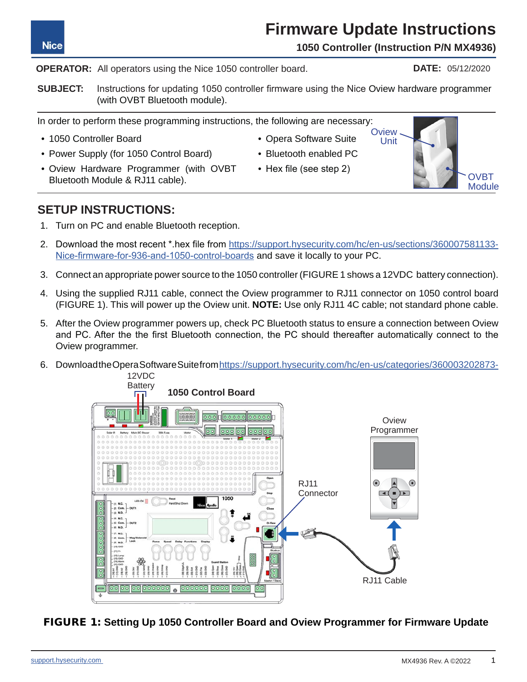## **Firmware Update Instructions**

**1050 Controller (Instruction P/N MX4936)**

#### **OPERATOR:** All operators using the Nice 1050 controller board.

**SUBJECT:** Instructions for updating 1050 controller firmware using the Nice Oview hardware programmer (with OVBT Bluetooth module).

In order to perform these programming instructions, the following are necessary:

- 1050 Controller Board
- Power Supply (for 1050 Control Board)
- Oview Hardware Programmer (with OVBT Bluetooth Module & RJ11 cable).
- Bluetooth enabled PC

• Opera Software Suite

• Hex file (see step 2)

### **SETUP INSTRUCTIONS:**

- 1. Turn on PC and enable Bluetooth reception.
- 2. Download the most recent \*.hex file from [https://support.hysecurity.com/hc/en-us/sections/360007581133-](https://support.hysecurity.com/hc/en-us/sections/360007581133-Nice-firmware-for-936-and-1050-control) [Nice-firmware-for-936-and-1050-control-boards](https://support.hysecurity.com/hc/en-us/sections/360007581133-Nice-firmware-for-936-and-1050-control) and save it locally to your PC.
- 3. Connect an appropriate power source to the 1050 controller (FIGURE 1 shows a 12VDC battery connection).
- 4. Using the supplied RJ11 cable, connect the Oview programmer to RJ11 connector on 1050 control board (FIGURE 1). This will power up the Oview unit. **NOTE:** Use only RJ11 4C cable; not standard phone cable.
- 5. After the Oview programmer powers up, check PC Bluetooth status to ensure a connection between Oview and PC. After the the first Bluetooth connection, the PC should thereafter automatically connect to the Oview programmer.
- 6. Download the Opera Software Suite from [https://support.hysecurity.com/hc/en-us/categories/360003202873-](https://support.hysecurity.com/hc/en-us/categories/360003202873-Software) 12VDC

FIGURE 1: **Setting Up 1050 Controller Board and Oview Programmer for Firmware Update**







**DATE:** 05/12/2020

**Nice**